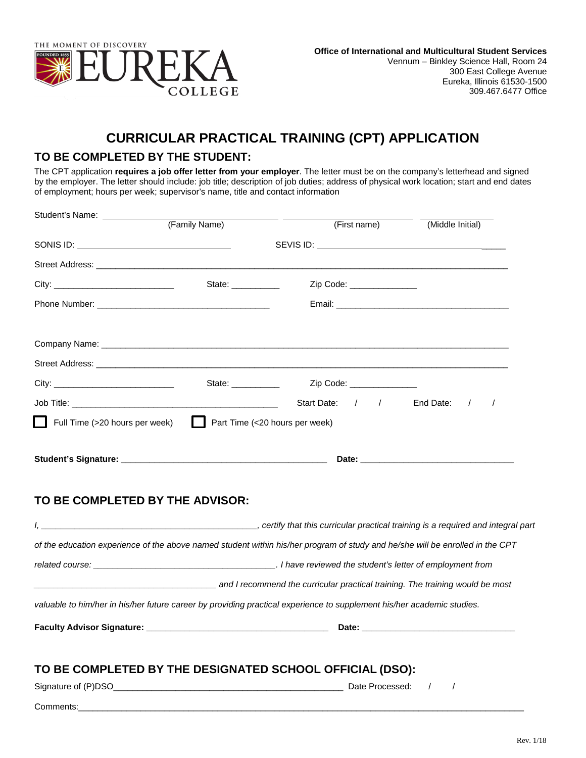

## **CURRICULAR PRACTICAL TRAINING (CPT) APPLICATION**

## **TO BE COMPLETED BY THE STUDENT:**

The CPT application **requires a job offer letter from your employer**. The letter must be on the company's letterhead and signed by the employer. The letter should include: job title; description of job duties; address of physical work location; start and end dates of employment; hours per week; supervisor's name, title and contact information

| Student's Name: _____________   |                     |                                                                                                                                                 |                  |
|---------------------------------|---------------------|-------------------------------------------------------------------------------------------------------------------------------------------------|------------------|
|                                 | (Family Name)       | (First name)                                                                                                                                    | (Middle Initial) |
|                                 |                     |                                                                                                                                                 |                  |
|                                 |                     |                                                                                                                                                 |                  |
|                                 | State: ____________ | Zip Code: _______________                                                                                                                       |                  |
|                                 |                     |                                                                                                                                                 |                  |
|                                 |                     |                                                                                                                                                 |                  |
|                                 |                     |                                                                                                                                                 |                  |
|                                 |                     | State: <u>Charles Maria 2ip</u> Code: Charles Maria 2ip Code:                                                                                   |                  |
|                                 |                     | Start Date: / / End Date: /                                                                                                                     | $\sqrt{2}$       |
| TO BE COMPLETED BY THE ADVISOR: |                     |                                                                                                                                                 |                  |
|                                 |                     |                                                                                                                                                 |                  |
|                                 |                     | of the education experience of the above named student within his/her program of study and he/she will be enrolled in the CPT                   |                  |
|                                 |                     |                                                                                                                                                 |                  |
|                                 |                     | and I recommend the curricular practical training. The training would be most and the curricular practical training. The training would be most |                  |
|                                 |                     | valuable to him/her in his/her future career by providing practical experience to supplement his/her academic studies.                          |                  |
|                                 |                     |                                                                                                                                                 |                  |
|                                 |                     | TO BE COMPLETED BY THE DESIGNATED SCHOOL OFFICIAL (DSO):                                                                                        |                  |
|                                 |                     | Date Processed: /                                                                                                                               | $\sqrt{ }$       |
|                                 |                     |                                                                                                                                                 |                  |